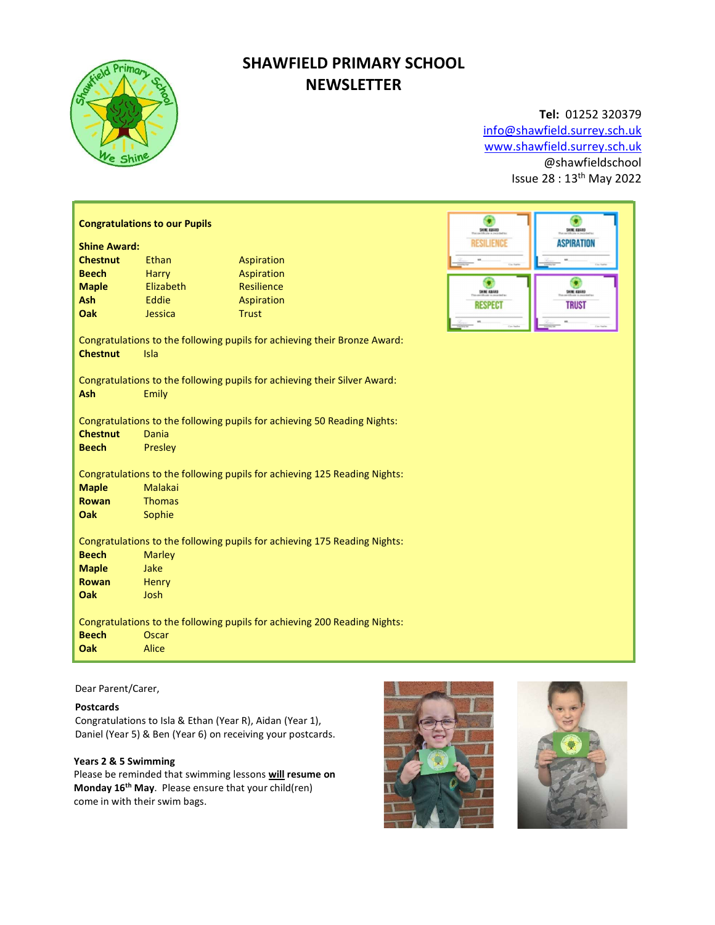

# SHAWFIELD PRIMARY SCHOOL **NEWSLETTER**

# Tel: 01252 320379

info@shawfield.surrey.sch.uk www.shawfield.surrey.sch.uk @shawfieldschool Issue 28 : 13th May 2022

> $\bigcirc$ **ASPIRATION**

> > G 31N FE **TRUST**

| <b>Congratulations to our Pupils</b><br>SHIE EBARD                                                   |                |                          |                     |  |  |
|------------------------------------------------------------------------------------------------------|----------------|--------------------------|---------------------|--|--|
| <b>Shine Award:</b><br><b>Chestnut</b>                                                               | <b>Fthan</b>   |                          | <b>ESILIENCE</b>    |  |  |
| <b>Beech</b>                                                                                         | Harry          | Aspiration<br>Aspiration |                     |  |  |
| <b>Maple</b>                                                                                         | Elizabeth      | <b>Resilience</b>        |                     |  |  |
| <b>Ash</b>                                                                                           | Eddie          | Aspiration               | <b>SHINE AINAND</b> |  |  |
| <b>Oak</b>                                                                                           | Jessica        | <b>Trust</b>             | <b>RESPEC</b>       |  |  |
|                                                                                                      |                |                          |                     |  |  |
| Congratulations to the following pupils for achieving their Bronze Award:<br><b>Chestnut</b><br>Isla |                |                          |                     |  |  |
|                                                                                                      |                |                          |                     |  |  |
| Congratulations to the following pupils for achieving their Silver Award:<br>Ash<br>Emily            |                |                          |                     |  |  |
| Congratulations to the following pupils for achieving 50 Reading Nights:                             |                |                          |                     |  |  |
| <b>Chestnut</b>                                                                                      | Dania          |                          |                     |  |  |
| <b>Beech</b>                                                                                         | Presley        |                          |                     |  |  |
|                                                                                                      |                |                          |                     |  |  |
| Congratulations to the following pupils for achieving 125 Reading Nights:                            |                |                          |                     |  |  |
| <b>Maple</b>                                                                                         | Malakai        |                          |                     |  |  |
| <b>Rowan</b>                                                                                         | <b>Thomas</b>  |                          |                     |  |  |
| Oak                                                                                                  | Sophie         |                          |                     |  |  |
| Congratulations to the following pupils for achieving 175 Reading Nights:<br><b>Beech</b>            |                |                          |                     |  |  |
| <b>Maple</b>                                                                                         | Marley<br>Jake |                          |                     |  |  |
| <b>Rowan</b>                                                                                         | Henry          |                          |                     |  |  |
| Oak                                                                                                  | Josh           |                          |                     |  |  |
|                                                                                                      |                |                          |                     |  |  |
| Congratulations to the following pupils for achieving 200 Reading Nights:                            |                |                          |                     |  |  |
| <b>Beech</b>                                                                                         | Oscar          |                          |                     |  |  |
| <b>Oak</b>                                                                                           | Alice          |                          |                     |  |  |

# Dear Parent/Carer,

# Postcards

Congratulations to Isla & Ethan (Year R), Aidan (Year 1), Daniel (Year 5) & Ben (Year 6) on receiving your postcards.

# Years 2 & 5 Swimming

Please be reminded that swimming lessons will resume on Monday 16<sup>th</sup> May. Please ensure that your child(ren) come in with their swim bags.



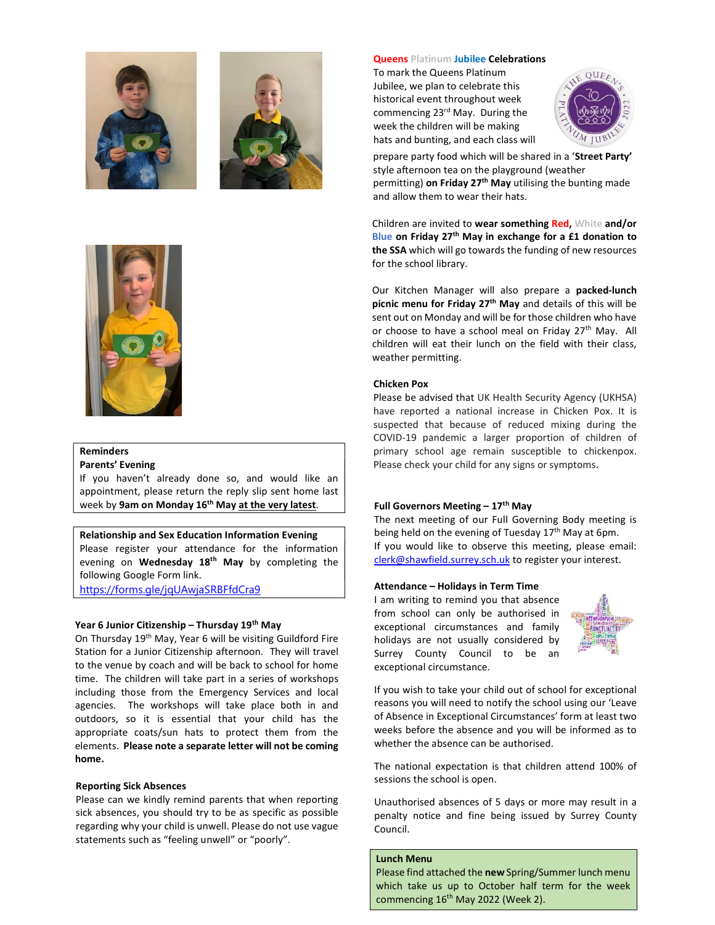



### **Queens Platinum Jubilee Celebrations**

To mark the Queens Platinum Jubilee, we plan to celebrate this historical event throughout week commencing 23rd May. During the week the children will be making hats and bunting, and each class will



prepare party food which will be shared in a 'Street Party' style afternoon tea on the playground (weather permitting) on Friday 27<sup>th</sup> May utilising the bunting made and allow them to wear their hats.

Children are invited to wear something Red, White and/or Blue on Friday 27<sup>th</sup> May in exchange for a £1 donation to the SSA which will go towards the funding of new resources for the school library.

Our Kitchen Manager will also prepare a packed-lunch picnic menu for Friday  $27<sup>th</sup>$  May and details of this will be sent out on Monday and will be for those children who have or choose to have a school meal on Friday 27<sup>th</sup> May. All children will eat their lunch on the field with their class, weather permitting.

#### Chicken Pox

Please be advised that UK Health Security Agency (UKHSA) have reported a national increase in Chicken Pox. It is suspected that because of reduced mixing during the COVID-19 pandemic a larger proportion of children of primary school age remain susceptible to chickenpox. Please check your child for any signs or symptoms.

# Full Governors Meeting  $-17<sup>th</sup>$  May

The next meeting of our Full Governing Body meeting is being held on the evening of Tuesday 17<sup>th</sup> May at 6pm. If you would like to observe this meeting, please email: clerk@shawfield.surrey.sch.uk to register your interest.

## Attendance – Holidays in Term Time

I am writing to remind you that absence from school can only be authorised in exceptional circumstances and family holidays are not usually considered by Surrey County Council to be an exceptional circumstance.



If you wish to take your child out of school for exceptional reasons you will need to notify the school using our 'Leave of Absence in Exceptional Circumstances' form at least two weeks before the absence and you will be informed as to whether the absence can be authorised.

The national expectation is that children attend 100% of sessions the school is open.

Unauthorised absences of 5 days or more may result in a penalty notice and fine being issued by Surrey County Council.

### Lunch Menu

Please find attached the new Spring/Summer lunch menu which take us up to October half term for the week commencing 16<sup>th</sup> May 2022 (Week 2).



# Reminders

#### Parents' Evening

If you haven't already done so, and would like an appointment, please return the reply slip sent home last week by 9am on Monday 16<sup>th</sup> May at the very latest.

#### Relationship and Sex Education Information Evening

Please register your attendance for the information evening on Wednesday 18<sup>th</sup> May by completing the following Google Form link.

https://forms.gle/jqUAwjaSRBFfdCra9

### Year 6 Junior Citizenship – Thursday 19<sup>th</sup> May

On Thursday 19th May, Year 6 will be visiting Guildford Fire Station for a Junior Citizenship afternoon. They will travel to the venue by coach and will be back to school for home time. The children will take part in a series of workshops including those from the Emergency Services and local agencies. The workshops will take place both in and outdoors, so it is essential that your child has the appropriate coats/sun hats to protect them from the elements. Please note a separate letter will not be coming home.

#### Reporting Sick Absences

Please can we kindly remind parents that when reporting sick absences, you should try to be as specific as possible regarding why your child is unwell. Please do not use vague statements such as "feeling unwell" or "poorly".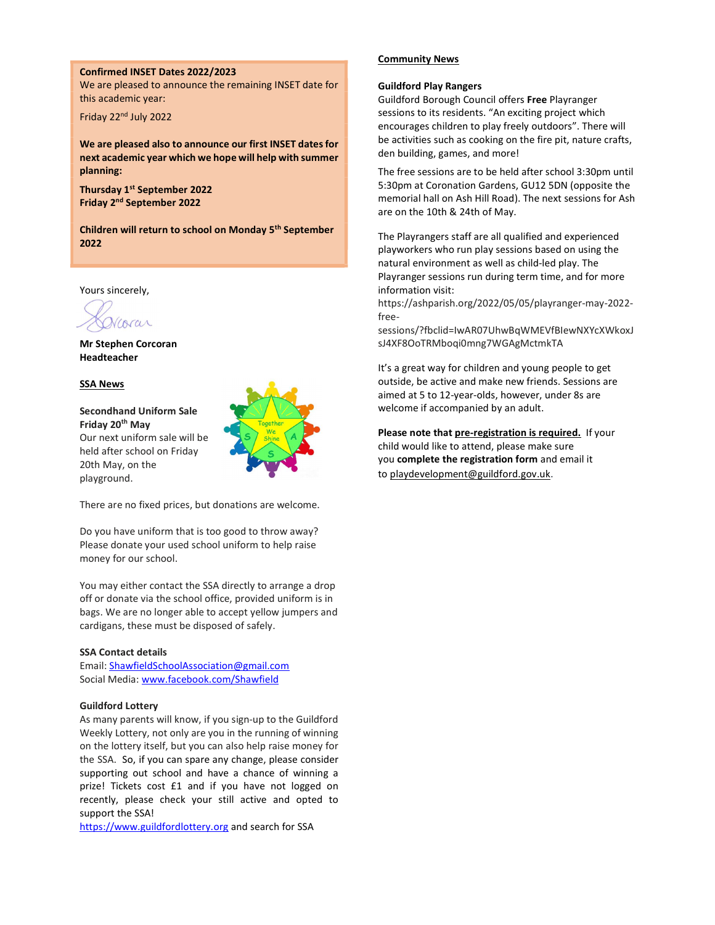#### Confirmed INSET Dates 2022/2023

We are pleased to announce the remaining INSET date for this academic year:

Friday 22nd July 2022

We are pleased also to announce our first INSET dates for next academic year which we hope will help with summer planning:

Thursday 1<sup>st</sup> September 2022 Friday 2nd September 2022

Children will return to school on Monday 5<sup>th</sup> September 2022

Yours sincerely,

Mr Stephen Corcoran Headteacher

#### SSA News

Secondhand Uniform Sale Friday 20th May Our next uniform sale will be held after school on Friday 20th May, on the playground.



There are no fixed prices, but donations are welcome.

Do you have uniform that is too good to throw away? Please donate your used school uniform to help raise money for our school.

You may either contact the SSA directly to arrange a drop off or donate via the school office, provided uniform is in bags. We are no longer able to accept yellow jumpers and cardigans, these must be disposed of safely.

#### SSA Contact details

Email: ShawfieldSchoolAssociation@gmail.com Social Media: www.facebook.com/Shawfield

# Guildford Lottery

As many parents will know, if you sign-up to the Guildford Weekly Lottery, not only are you in the running of winning on the lottery itself, but you can also help raise money for the SSA. So, if you can spare any change, please consider supporting out school and have a chance of winning a prize! Tickets cost £1 and if you have not logged on recently, please check your still active and opted to support the SSA!

https://www.guildfordlottery.org and search for SSA

#### Community News

#### Guildford Play Rangers

Guildford Borough Council offers Free Playranger sessions to its residents. "An exciting project which encourages children to play freely outdoors". There will be activities such as cooking on the fire pit, nature crafts, den building, games, and more!

The free sessions are to be held after school 3:30pm until 5:30pm at Coronation Gardens, GU12 5DN (opposite the memorial hall on Ash Hill Road). The next sessions for Ash are on the 10th & 24th of May.

The Playrangers staff are all qualified and experienced playworkers who run play sessions based on using the natural environment as well as child-led play. The Playranger sessions run during term time, and for more information visit:

https://ashparish.org/2022/05/05/playranger-may-2022 free-

sessions/?fbclid=IwAR07UhwBqWMEVfBIewNXYcXWkoxJ sJ4XF8OoTRMboqi0mng7WGAgMctmkTA

It's a great way for children and young people to get outside, be active and make new friends. Sessions are aimed at 5 to 12-year-olds, however, under 8s are welcome if accompanied by an adult.

Please note that pre-registration is required. If your child would like to attend, please make sure you complete the registration form and email it to playdevelopment@guildford.gov.uk.